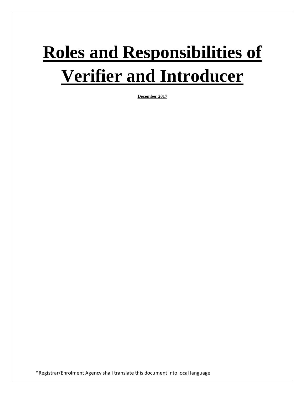# **Roles and Responsibilities of Verifier and Introducer**

**December 2017**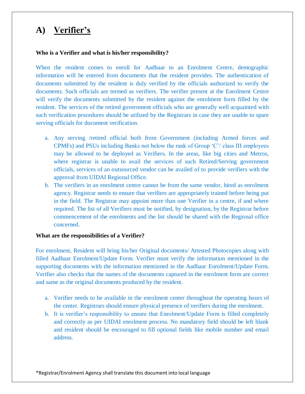# **A) Verifier's**

#### **Who is a Verifier and what is his/her responsibility?**

When the resident comes to enroll for Aadhaar to an Enrolment Centre, demographic information will be entered from documents that the resident provides. The authentication of documents submitted by the resident is duly verified by the officials authorized to verify the documents. Such officials are termed as verifiers. The verifier present at the Enrolment Centre will verify the documents submitted by the resident against the enrolment form filled by the resident. The services of the retired government officials who are generally well acquainted with such verification procedures should be utilized by the Registrars in case they are unable to spare serving officials for document verification.

- a. Any serving /retired official both from Government (including Armed forces and CPMFs) and PSUs including Banks not below the rank of Group 'C'/ class III employees may be allowed to be deployed as Verifiers. In the areas, like big cities and Metros, where registrar is unable to avail the services of such Retired/Serving government officials, services of an outsourced vendor can be availed of to provide verifiers with the approval from UIDAI Regional Office.
- b. The verifiers in an enrolment centre cannot be from the same vendor, hired as enrolment agency. Registrar needs to ensure that verifiers are appropriately trained before being put in the field. The Registrar may appoint more than one Verifier in a centre, if and where required. The list of all Verifiers must be notified, by designation, by the Registrar before commencement of the enrolments and the list should be shared with the Regional office concerned.

#### **What are the responsibilities of a Verifier?**

For enrolment, Resident will bring his/her Original documents/ Attested Photocopies along with filled Aadhaar Enrolment/Update Form. Verifier must verify the information mentioned in the supporting documents with the information mentioned in the Aadhaar Enrolment/Update Form. Verifier also checks that the names of the documents captured in the enrolment form are correct and same as the original documents produced by the resident.

- a. Verifier needs to be available in the enrolment center throughout the operating hours of the center. Registrars should ensure physical presence of verifiers during the enrolment.
- b. It is verifier's responsibility to ensure that Enrolment/Update Form is filled completely and correctly as per UIDAI enrolment process. No mandatory field should be left blank and resident should be encouraged to fill optional fields like mobile number and email address.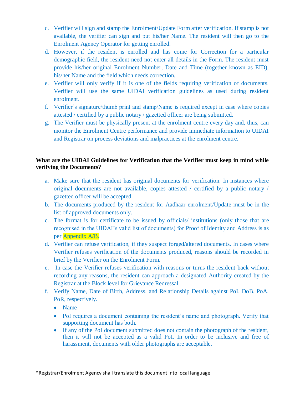- c. Verifier will sign and stamp the Enrolment/Update Form after verification. If stamp is not available, the verifier can sign and put his/her Name. The resident will then go to the Enrolment Agency Operator for getting enrolled.
- d. However, if the resident is enrolled and has come for Correction for a particular demographic field, the resident need not enter all details in the Form. The resident must provide his/her original Enrolment Number, Date and Time (together known as EID), his/her Name and the field which needs correction.
- e. Verifier will only verify if it is one of the fields requiring verification of documents. Verifier will use the same UIDAI verification guidelines as used during resident enrolment.
- f. Verifier's signature/thumb print and stamp/Name is required except in case where copies attested / certified by a public notary / gazetted officer are being submitted.
- g. The Verifier must be physically present at the enrolment centre every day and, thus, can monitor the Enrolment Centre performance and provide immediate information to UIDAI and Registrar on process deviations and malpractices at the enrolment centre.

### **What are the UIDAI Guidelines for Verification that the Verifier must keep in mind while verifying the Documents?**

- a. Make sure that the resident has original documents for verification. In instances where original documents are not available, copies attested / certified by a public notary / gazetted officer will be accepted.
- b. The documents produced by the resident for Aadhaar enrolment/Update must be in the list of approved documents only.
- c. The format is for certificate to be issued by officials/ institutions (only those that are recognised in the UIDAI's valid list of documents) for Proof of Identity and Address is as per Appendix A/B.
- d. Verifier can refuse verification, if they suspect forged/altered documents. In cases where Verifier refuses verification of the documents produced, reasons should be recorded in brief by the Verifier on the Enrolment Form.
- e. In case the Verifier refuses verification with reasons or turns the resident back without recording any reasons, the resident can approach a designated Authority created by the Registrar at the Block level for Grievance Redressal.
- f. Verify Name, Date of Birth, Address, and Relationship Details against PoI, DoB, PoA, PoR, respectively.
	- Name
	- PoI requires a document containing the resident's name and photograph. Verify that supporting document has both.
	- If any of the PoI document submitted does not contain the photograph of the resident, then it will not be accepted as a valid PoI. In order to be inclusive and free of harassment, documents with older photographs are acceptable.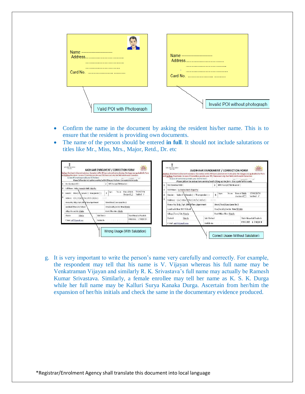

- Confirm the name in the document by asking the resident his/her name. This is to ensure that the resident is providing own documents.
- The name of the person should be entered **in full**. It should not include salutations or titles like Mr., Miss, Mrs., Major, Retd., Dr. etc

| 2 NPR Recruit /TIN Unrober :<br>Pre-Foculoun Hft :                                                                                     |                                                                           | Please follow the instructions overleaf while filling up the form. Use capital letters only. |  |  |
|----------------------------------------------------------------------------------------------------------------------------------------|---------------------------------------------------------------------------|----------------------------------------------------------------------------------------------|--|--|
|                                                                                                                                        | Pre-Enrolment ID:                                                         | 2 <sup>1</sup><br>NPR Receipt/TIN Number:                                                    |  |  |
| full Hame: Major Surencler Hafn Iripathy                                                                                               | Full Name: Surender Nath Tripathy                                         |                                                                                              |  |  |
| 07/09/1974<br>Date of fields:<br>Yes ca<br>260<br>$\mathbf{s}$<br>Gender: Mala(J.A. Jeanale ( ) Ironsgender( )<br>Verified<br>Decksred | Gender: Malei/ / Female ( ) Transgender ( )                               | 07/09/1974<br>Date of Birth:<br>Yes on<br>Age:<br>k<br>verified /<br><b>Uodared</b>          |  |  |
| Address: L/D(10/a) S/o(1W/D11H/o(1)                                                                                                    | Address: C/o()D/o \\S/o()W/o()H/o()                                       | triched                                                                                      |  |  |
| House No/ Blog./Apt. 109 B Tara Apartment<br>Street/Read(Lane Lane No 2)                                                               | House No. Bldg./Apt. 109 B Tara Apartment                                 | Street/fload/Lane Lane No 2                                                                  |  |  |
| Landmark Near LWV School<br>Area/locality/sector New Shimle-                                                                           |                                                                           | Assaflorality/sector New Shimla                                                              |  |  |
| village/town/City Shimla<br>Fost Uffice New Shinds                                                                                     | Candinatic Hear DAV School                                                |                                                                                              |  |  |
| Sub-Oistrict<br>State Himachal Pracketh<br>Stinia.<br><b>District</b>                                                                  | Village/Town/City Shanla                                                  | Post Office New Shinds                                                                       |  |  |
| <b>FINCOUL 170009</b><br>Middle No.<br>E Mail and Telemail con-                                                                        | Sub-flistrict<br>Shimla<br>District<br>Mobile No<br>E Mail 3027@gmail.com | <b>State Himachal Pradesh</b><br>PINCODE 170009                                              |  |  |

g. It is very important to write the person's name very carefully and correctly. For example, the respondent may tell that his name is V. Vijayan whereas his full name may be Venkatraman Vijayan and similarly R. K. Srivastava's full name may actually be Ramesh Kumar Srivastava. Similarly, a female enrollee may tell her name as K. S. K. Durga while her full name may be Kalluri Surya Kanaka Durga. Ascertain from her/him the expansion of her/his initials and check the same in the documentary evidence produced.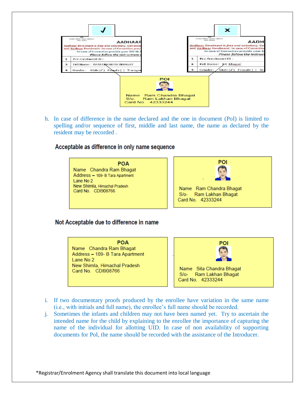

h. In case of difference in the name declared and the one in document (PoI) is limited to spelling and/or sequence of first, middle and last name, the name as declared by the resident may be recorded .

#### Acceptable as difference in only name sequence

**POA** Name Chandra Ram Bhagat Address - 109- B Tara Apartment Lane No 2 New Shimla, Himachal Pradesh Card No. CDI908766



Name Ram Chandra Bhagat S/o- Ram Lakhan Bhagat Card No. 42333244

#### Not Acceptable due to difference in name

**POA** Name Chandra Ram Bhagat Address - 109- B Tara Apartment Lane No 2 New Shimla, Himachal Pradesh Card No. CDI908766



- i. If two documentary proofs produced by the enrollee have variation in the same name (i.e., with initials and full name), the enrollee's full name should be recorded.
- j. Sometimes the infants and children may not have been named yet. Try to ascertain the intended name for the child by explaining to the enrollee the importance of capturing the name of the individual for allotting UID. In case of non availability of supporting documents for PoI, the name should be recorded with the assistance of the Introducer.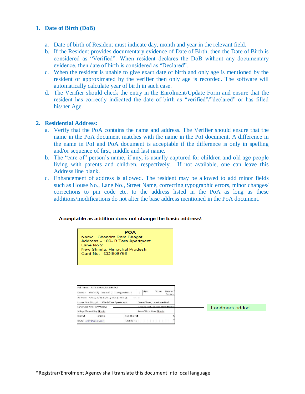#### **1. Date of Birth (DoB)**

- a. Date of birth of Resident must indicate day, month and year in the relevant field.
- b. If the Resident provides documentary evidence of Date of Birth, then the Date of Birth is considered as "Verified". When resident declares the DoB without any documentary evidence, then date of birth is considered as "Declared".
- c. When the resident is unable to give exact date of birth and only age is mentioned by the resident or approximated by the verifier then only age is recorded. The software will automatically calculate year of birth in such case.
- d. The Verifier should check the entry in the Enrolment/Update Form and ensure that the resident has correctly indicated the date of birth as "verified"/"declared" or has filled his/her Age.

#### **2. Residential Address:**

- a. Verify that the PoA contains the name and address. The Verifier should ensure that the name in the PoA document matches with the name in the PoI document. A difference in the name in PoI and PoA document is acceptable if the difference is only in spelling and/or sequence of first, middle and last name.
- b. The "care of" person's name, if any, is usually captured for children and old age people living with parents and children, respectively. If not available, one can leave this Address line blank.
- c. Enhancement of address is allowed. The resident may be allowed to add minor fields such as House No., Lane No., Street Name, correcting typographic errors, minor changes/ corrections to pin code etc. to the address listed in the PoA as long as these additions/modifications do not alter the base address mentioned in the PoA document.

#### Acceptable as addition does not change the basic address\



| Full Name: RAM CHANDRA BHAGAT                                            |              |      |                                 |        |                       |  |  |                |
|--------------------------------------------------------------------------|--------------|------|---------------------------------|--------|-----------------------|--|--|----------------|
| Male (J) Female     Transgender ()<br>Gender:                            |              | 5    | Age:                            | Yrs on | Date of E<br>Declared |  |  |                |
| Address: C/o () D/o () S/o () W/o () H/o ()                              |              | NAME |                                 |        |                       |  |  |                |
| Street/Road/Lane Lane No 2<br>House No/ Bldg./Apt. 109- B Tara Apartment |              |      |                                 |        |                       |  |  |                |
| Landmark Near DAV School                                                 |              |      | Area/Jocality/sector_New Shimla |        |                       |  |  | Landmark added |
| Village/Town/City Shimla                                                 |              |      | Post Office New Shimls          |        |                       |  |  |                |
| Shimla<br>District                                                       | Sub-District |      |                                 |        |                       |  |  |                |
| Mobile No<br>E Mail sn07@gmail.com                                       |              |      |                                 |        |                       |  |  |                |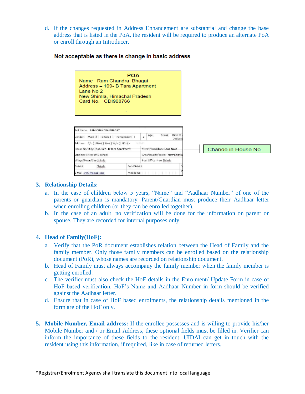d. If the changes requested in Address Enhancement are substantial and change the base address that is listed in the PoA, the resident will be required to produce an alternate PoA or enroll through an Introducer.



#### Not acceptable as there is change in basic address

#### **3. Relationship Details:**

- a. In the case of children below 5 years, "Name" and "Aadhaar Number" of one of the parents or guardian is mandatory. Parent/Guardian must produce their Aadhaar letter when enrolling children (or they can be enrolled together).
- b. In the case of an adult, no verification will be done for the information on parent or spouse. They are recorded for internal purposes only.

#### **4. Head of Family(HoF):**

- a. Verify that the PoR document establishes relation between the Head of Family and the family member. Only those family members can be enrolled based on the relationship document (PoR), whose names are recorded on relationship document.
- b. Head of Family must always accompany the family member when the family member is getting enrolled.
- c. The verifier must also check the HoF details in the Enrolment/ Update Form in case of HoF based verification. HoF's Name and Aadhaar Number in form should be verified against the Aadhaar letter.
- d. Ensure that in case of HoF based enrolments, the relationship details mentioned in the form are of the HoF only.
- **5. Mobile Number, Email address:** If the enrollee possesses and is willing to provide his/her Mobile Number and / or Email Address, these optional fields must be filled in. Verifier can inform the importance of these fields to the resident. UIDAI can get in touch with the resident using this information, if required, like in case of returned letters.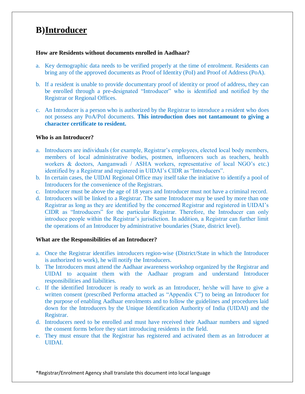# **B)Introducer**

#### **How are Residents without documents enrolled in Aadhaar?**

- a. Key demographic data needs to be verified properly at the time of enrolment. Residents can bring any of the approved documents as Proof of Identity (PoI) and Proof of Address (PoA).
- b. If a resident is unable to provide documentary proof of identity or proof of address, they can be enrolled through a pre-designated "Introducer" who is identified and notified by the Registrar or Regional Offices.
- c. An Introducer is a person who is authorized by the Registrar to introduce a resident who does not possess any PoA/PoI documents. **This introduction does not tantamount to giving a character certificate to resident.**

#### **Who is an Introducer?**

- a. Introducers are individuals (for example, Registrar's employees, elected local body members, members of local administrative bodies, postmen, influencers such as teachers, health workers & doctors, Aanganwadi / ASHA workers, representative of local NGO's etc.) identified by a Registrar and registered in UIDAI's CIDR as "Introducers".
- b. In certain cases, the UIDAI Regional Office may itself take the initiative to identify a pool of Introducers for the convenience of the Registrars.
- c. Introducer must be above the age of 18 years and Introducer must not have a criminal record.
- d. Introducers will be linked to a Registrar. The same Introducer may be used by more than one Registrar as long as they are identified by the concerned Registrar and registered in UIDAI's CIDR as "Introducers" for the particular Registrar. Therefore, the Introducer can only introduce people within the Registrar's jurisdiction. In addition, a Registrar can further limit the operations of an Introducer by administrative boundaries (State, district level).

#### **What are the Responsibilities of an Introducer?**

- a. Once the Registrar identifies introducers region-wise (District/State in which the Introducer is authorized to work), he will notify the Introducers.
- b. The Introducers must attend the Aadhaar awareness workshop organized by the Registrar and UIDAI to acquaint them with the Aadhaar program and understand Introducer responsibilities and liabilities.
- c. If the identified Introducer is ready to work as an Introducer, he/she will have to give a written consent (prescribed Performa attached as "Appendix C") to being an Introducer for the purpose of enabling Aadhaar enrolments and to follow the guidelines and procedures laid down for the Introducers by the Unique Identification Authority of India (UIDAI) and the Registrar.
- d. Introducers need to be enrolled and must have received their Aadhaar numbers and signed the consent forms before they start introducing residents in the field.
- e. They must ensure that the Registrar has registered and activated them as an Introducer at UIDAI.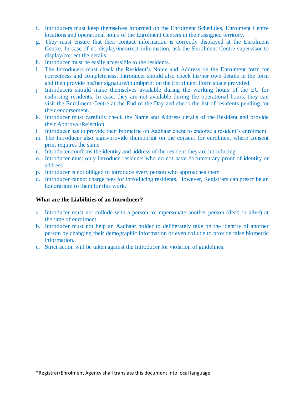- f. Introducers must keep themselves informed on the Enrolment Schedules, Enrolment Centre locations and operational hours of the Enrolment Centers in their assigned territory.
- g. They must ensure that their contact information is correctly displayed at the Enrolment Centre. In case of no display/incorrect information, ask the Enrolment Centre supervisor to display/correct the details.
- h. Introducer must be easily accessible to the residents.
- i. The Introducers must check the Resident's Name and Address on the Enrolment form for correctness and completeness. Introducer should also check his/her own details in the form and then provide his/her signature/thumbprint on the Enrolment Form space provided.
- j. Introducers should make themselves available during the working hours of the EC for endorsing residents. In case, they are not available during the operational hours, they can visit the Enrolment Centre at the End of the Day and check the list of residents pending for their endorsement.
- k. Introducer must carefully check the Name and Address details of the Resident and provide their Approval/Rejection.
- l. Introducer has to provide their biometric on Aadhaar client to endorse a resident's enrolment.
- m. The Introducer also signs/provide thumbprint on the consent for enrolment where consent print requires the same.
- n. Introducer confirms the identity and address of the resident they are introducing
- o. Introducer must only introduce residents who do not have documentary proof of identity or address
- p. Introducer is not obliged to introduce every person who approaches them
- q. Introducer cannot charge fees for introducing residents. However, Registrars can prescribe an honorarium to them for this work.

#### **What are the Liabilities of an Introducer?**

- a. Introducer must not collude with a person to impersonate another person (dead or alive) at the time of enrolment.
- b. Introducer must not help an Aadhaar holder to deliberately take on the identity of another person by changing their demographic information or even collude to provide false biometric information.
- c. Strict action will be taken against the Introducer for violation of guidelines.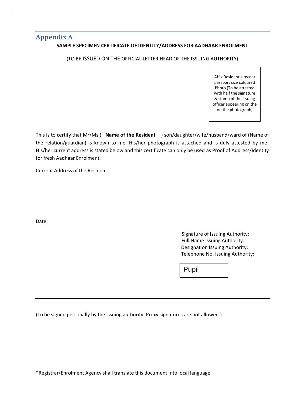## **Appendix A SAMPLE SPECIMEN CERTIFICATE OF IDENTITY/ADDRESS FOR AADHAAR ENROLMENT**

(TO BE ISSUED ON THE OFFICIAL LETTER HEAD OF THE ISSUING AUTHORITY)

Affix Resident's recent passport size coloured Photo (To be attested with half the signature & stamp of the issuing officer appearing on the on the photograph)

This is to certify that Mr/Ms ( **Name of the Resident** ) son/daughter/wife/husband/ward of (Name of the relation/guardian) is known to me. His/her photograph is attached and is duly attested by me. His/her current address is stated below and this certificate can only be used as Proof of Address/Identity for fresh Aadhaar Enrolment.

Current Address of the Resident:

Date:

 Signature of Issuing Authority: Full Name Issuing Authority: Designation Issuing Authority: Telephone No. Issuing Authority:

Pupil

(To be signed personally by the issuing authority. Proxy signatures are not allowed.)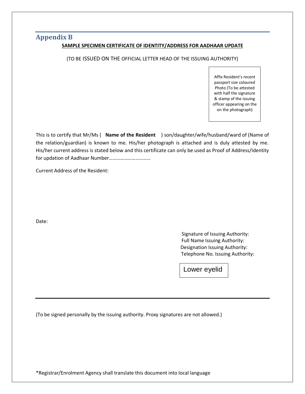## **Appendix B**

#### **SAMPLE SPECIMEN CERTIFICATE OF IDENTITY/ADDRESS FOR AADHAAR UPDATE**

(TO BE ISSUED ON THE OFFICIAL LETTER HEAD OF THE ISSUING AUTHORITY)

Affix Resident's recent passport size coloured Photo (To be attested with half the signature & stamp of the issuing officer appearing on the on the photograph)

This is to certify that Mr/Ms ( **Name of the Resident** ) son/daughter/wife/husband/ward of (Name of the relation/guardian) is known to me. His/her photograph is attached and is duly attested by me. His/her current address is stated below and this certificate can only be used as Proof of Address/Identity for updation of Aadhaar Number……………………………

Current Address of the Resident:

Date:

 Signature of Issuing Authority: Full Name Issuing Authority: Designation Issuing Authority: Telephone No. Issuing Authority:

Lower eyelid

(To be signed personally by the issuing authority. Proxy signatures are not allowed.)